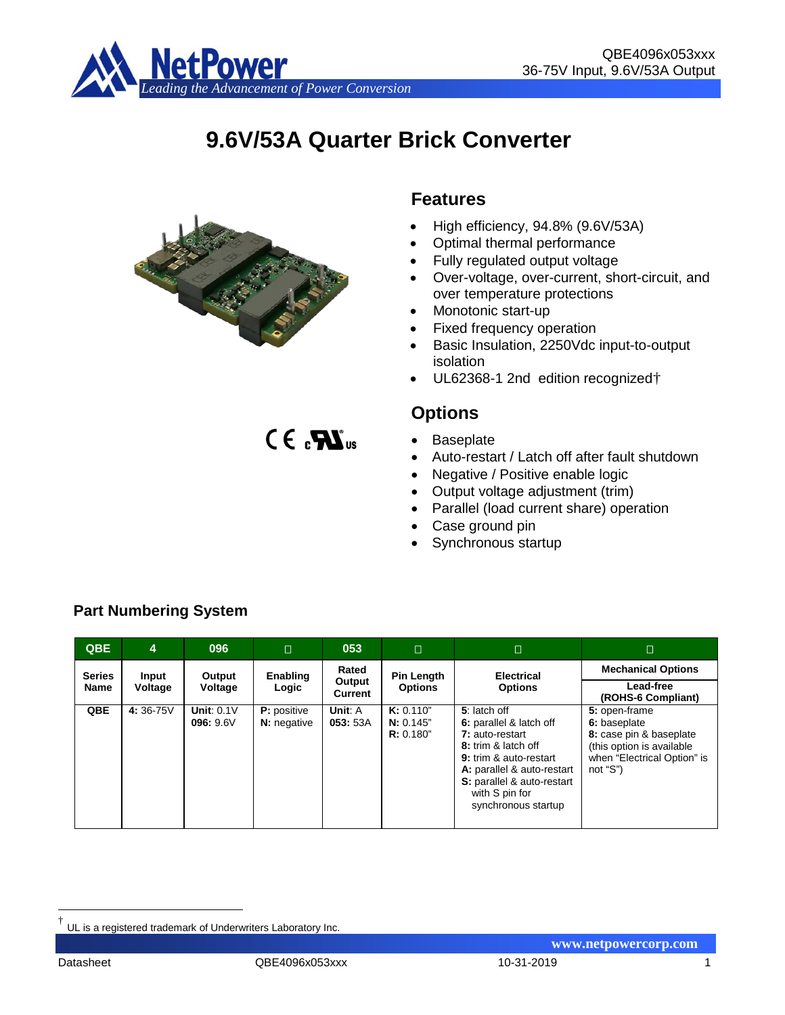

# **9.6V/53A Quarter Brick Converter**



 $CE_{a}$  $Z$ 

# **Features**

- High efficiency, 94.8% (9.6V/53A)
- Optimal thermal performance
- Fully regulated output voltage
- Over-voltage, over-current, short-circuit, and over temperature protections
- Monotonic start-up
- Fixed frequency operation
- Basic Insulation, 2250Vdc input-to-output isolation
- UL62368-1 2nd edition recognized<sup>+</sup>

# **Options**

- Baseplate
- Auto-restart / Latch off after fault shutdown
- Negative / Positive enable logic
- Output voltage adjustment (trim)
- Parallel (load current share) operation
- Case ground pin
- Synchronous startup

| <b>QBE</b>    | 4        | 096                       | $\Box$                            | 053                      | $\Box$                              | $\Box$                                                                                                                                                                                                           | $\Box$                                                                                                                            |
|---------------|----------|---------------------------|-----------------------------------|--------------------------|-------------------------------------|------------------------------------------------------------------------------------------------------------------------------------------------------------------------------------------------------------------|-----------------------------------------------------------------------------------------------------------------------------------|
| <b>Series</b> | Input    | Output                    | Enabling                          | Rated                    | <b>Pin Length</b>                   | <b>Electrical</b>                                                                                                                                                                                                | <b>Mechanical Options</b>                                                                                                         |
| Name          | Voltage  | Voltage                   | Logic                             | Output<br><b>Current</b> | <b>Options</b>                      | <b>Options</b>                                                                                                                                                                                                   | Lead-free<br>(ROHS-6 Compliant)                                                                                                   |
| QBE           | 4:36-75V | Unit: $0.1V$<br>096: 9.6V | <b>P:</b> positive<br>N: negative | Unit: A<br>053: 53A      | K: 0.110"<br>N: 0.145"<br>R: 0.180" | 5: latch off<br>6: parallel & latch off<br>7: auto-restart<br>8: trim & latch off<br>9: trim & auto-restart<br>A: parallel & auto-restart<br>S: parallel & auto-restart<br>with S pin for<br>synchronous startup | 5: open-frame<br>6: baseplate<br>8: case pin & baseplate<br>(this option is available)<br>when "Electrical Option" is<br>not "S") |

# **Part Numbering System**

**www.netpowercorp.com**

<span id="page-0-0"></span>UL is a registered trademark of Underwriters Laboratory Inc.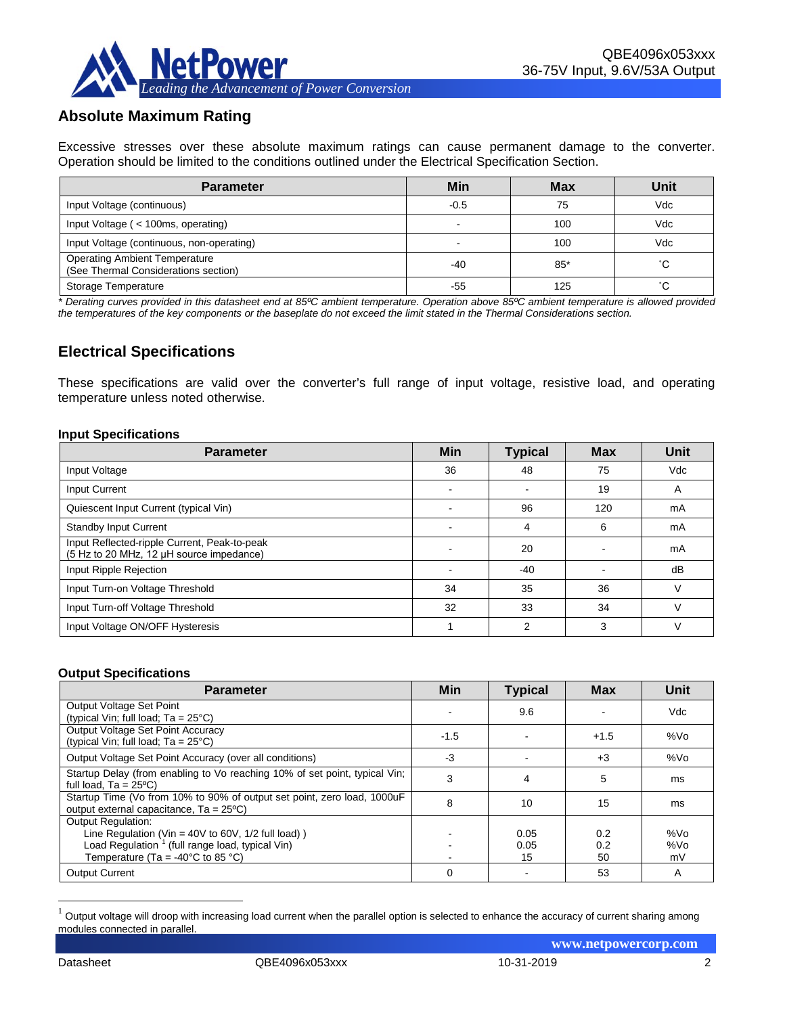

# **Absolute Maximum Rating**

Excessive stresses over these absolute maximum ratings can cause permanent damage to the converter. Operation should be limited to the conditions outlined under the Electrical Specification Section.

| <b>Parameter</b>                                                             | Min    | <b>Max</b> | Unit      |
|------------------------------------------------------------------------------|--------|------------|-----------|
| Input Voltage (continuous)                                                   | $-0.5$ | 75         | Vdc       |
| Input Voltage ( < 100ms, operating)                                          |        | 100        | Vdc       |
| Input Voltage (continuous, non-operating)                                    | -      | 100        | Vdc       |
| <b>Operating Ambient Temperature</b><br>(See Thermal Considerations section) | -40    | $85*$      | $\hat{ }$ |
| Storage Temperature                                                          | -55    | 125        | $\sim$    |

*\* Derating curves provided in this datasheet end at 85ºC ambient temperature. Operation above 85ºC ambient temperature is allowed provided the temperatures of the key components or the baseplate do not exceed the limit stated in the Thermal Considerations section.*

# **Electrical Specifications**

These specifications are valid over the converter's full range of input voltage, resistive load, and operating temperature unless noted otherwise.

#### **Input Specifications**

| <b>Parameter</b>                                                                         | Min | <b>Typical</b> | <b>Max</b> | <b>Unit</b>  |
|------------------------------------------------------------------------------------------|-----|----------------|------------|--------------|
| Input Voltage                                                                            | 36  | 48             | 75         | Vdc          |
| <b>Input Current</b>                                                                     |     |                | 19         | A            |
| Quiescent Input Current (typical Vin)                                                    |     | 96             | 120        | mA           |
| <b>Standby Input Current</b>                                                             |     | 4              | 6          | mA           |
| Input Reflected-ripple Current, Peak-to-peak<br>(5 Hz to 20 MHz, 12 µH source impedance) |     | 20             |            | mA           |
| Input Ripple Rejection                                                                   |     | $-40$          |            | dB           |
| Input Turn-on Voltage Threshold                                                          | 34  | 35             | 36         | $\mathsf{v}$ |
| Input Turn-off Voltage Threshold                                                         | 32  | 33             | 34         | ν            |
| Input Voltage ON/OFF Hysteresis                                                          |     | 2              | 3          | ν            |

#### **Output Specifications**

| <b>Parameter</b>                                                                                                                    | <b>Min</b> | <b>Typical</b> | <b>Max</b> | Unit            |
|-------------------------------------------------------------------------------------------------------------------------------------|------------|----------------|------------|-----------------|
| Output Voltage Set Point                                                                                                            |            | 9.6            |            | Vdc             |
| (typical Vin; full load; $Ta = 25^{\circ}C$ )<br>Output Voltage Set Point Accuracy<br>(typical Vin; full load; $Ta = 25^{\circ}C$ ) | $-1.5$     |                | $+1.5$     | %Vo             |
| Output Voltage Set Point Accuracy (over all conditions)                                                                             | -3         |                | $+3$       | %Vo             |
| Startup Delay (from enabling to Vo reaching 10% of set point, typical Vin;<br>full load, $Ta = 25^{\circ}C$                         | 3          | 4              | 5          | ms              |
| Startup Time (Vo from 10% to 90% of output set point, zero load, 1000uF<br>output external capacitance, $Ta = 25^{\circ}C$          | 8          | 10             | 15         | ms              |
| <b>Output Regulation:</b>                                                                                                           |            |                |            |                 |
| Line Regulation (Vin = $40V$ to 60V, $1/2$ full load))                                                                              |            | 0.05           | 0.2        | %V <sub>O</sub> |
| Load Regulation <sup>1</sup> (full range load, typical Vin)                                                                         |            | 0.05           | 0.2        | %Vo             |
| Temperature (Ta = -40 $^{\circ}$ C to 85 $^{\circ}$ C)                                                                              |            | 15             | 50         | mV              |
| <b>Output Current</b>                                                                                                               | 0          |                | 53         | A               |

<span id="page-1-0"></span> $1$  Output voltage will droop with increasing load current when the parallel option is selected to enhance the accuracy of current sharing among modules connected in parallel.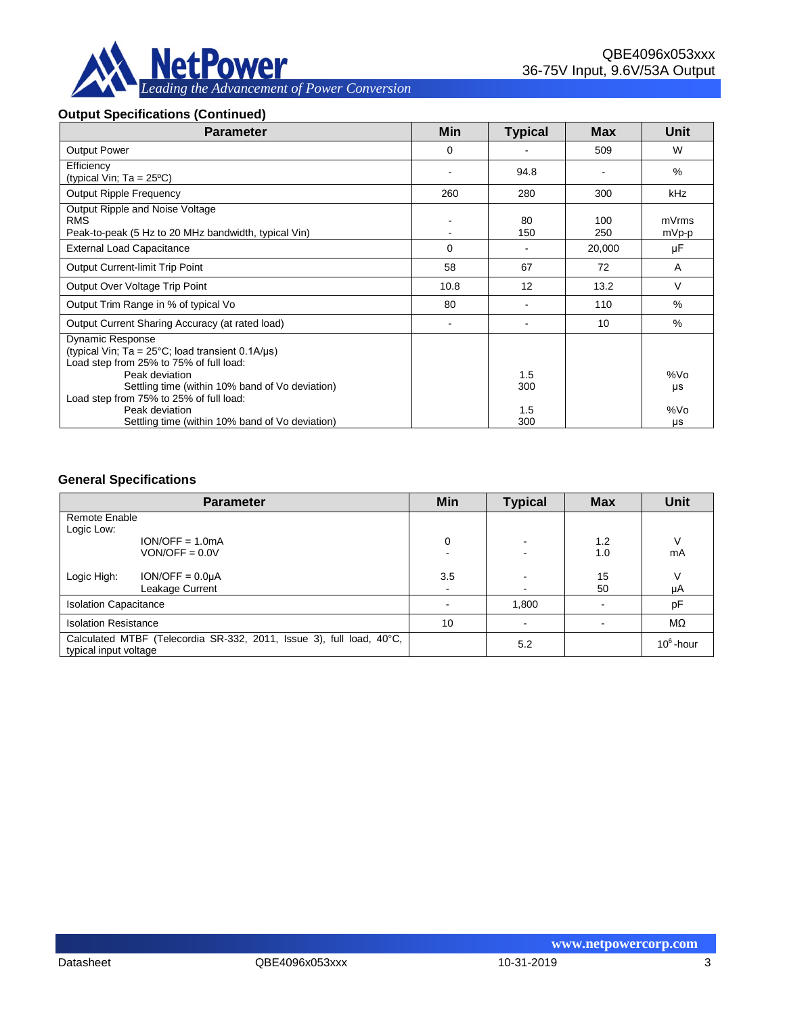

#### **Output Specifications (Continued)**

| <b>Parameter</b>                                                                                                                                                                                            | Min                      | <b>Typical</b> | <b>Max</b> | Unit           |
|-------------------------------------------------------------------------------------------------------------------------------------------------------------------------------------------------------------|--------------------------|----------------|------------|----------------|
| <b>Output Power</b>                                                                                                                                                                                         | 0                        |                | 509        | W              |
| Efficiency<br>(typical Vin; $Ta = 25^{\circ}C$ )                                                                                                                                                            |                          | 94.8           |            | %              |
| <b>Output Ripple Frequency</b>                                                                                                                                                                              | 260                      | 280            | 300        | <b>kHz</b>     |
| Output Ripple and Noise Voltage<br><b>RMS</b><br>Peak-to-peak (5 Hz to 20 MHz bandwidth, typical Vin)                                                                                                       |                          | 80<br>150      | 100<br>250 | mVrms<br>mVp-p |
| <b>External Load Capacitance</b>                                                                                                                                                                            | 0                        |                | 20,000     | μF             |
| <b>Output Current-limit Trip Point</b>                                                                                                                                                                      | 58                       | 67             | 72         | A              |
| Output Over Voltage Trip Point                                                                                                                                                                              | 10.8                     | 12             | 13.2       | $\vee$         |
| Output Trim Range in % of typical Vo                                                                                                                                                                        | 80                       |                | 110        | %              |
| Output Current Sharing Accuracy (at rated load)                                                                                                                                                             | $\overline{\phantom{a}}$ |                | 10         | %              |
| <b>Dynamic Response</b><br>(typical Vin; Ta = $25^{\circ}$ C; load transient 0.1A/ $\mu$ s)<br>Load step from 25% to 75% of full load:<br>Peak deviation<br>Settling time (within 10% band of Vo deviation) |                          | 1.5<br>300     |            | %Vo<br>μs      |
| Load step from 75% to 25% of full load:<br>Peak deviation<br>Settling time (within 10% band of Vo deviation)                                                                                                |                          | 1.5<br>300     |            | %Vo<br>μs      |

#### **General Specifications**

|                                                                                               | <b>Parameter</b>                      | Min           | <b>Typical</b> | <b>Max</b> | <b>Unit</b>  |
|-----------------------------------------------------------------------------------------------|---------------------------------------|---------------|----------------|------------|--------------|
| Remote Enable                                                                                 |                                       |               |                |            |              |
| Logic Low:                                                                                    | $ION/OFF = 1.0mA$<br>$VON/OFF = 0.0V$ | 0             |                | 1.2<br>1.0 | ν<br>mA      |
| Logic High:                                                                                   | $ION/OFF = 0.0µA$<br>Leakage Current  | 3.5<br>$\sim$ |                | 15<br>50   | V<br>μA      |
| <b>Isolation Capacitance</b>                                                                  |                                       |               | 1,800          |            | pF           |
| <b>Isolation Resistance</b>                                                                   |                                       | 10            |                |            | MΩ           |
| Calculated MTBF (Telecordia SR-332, 2011, Issue 3), full load, 40°C,<br>typical input voltage |                                       |               | 5.2            |            | $10^6$ -hour |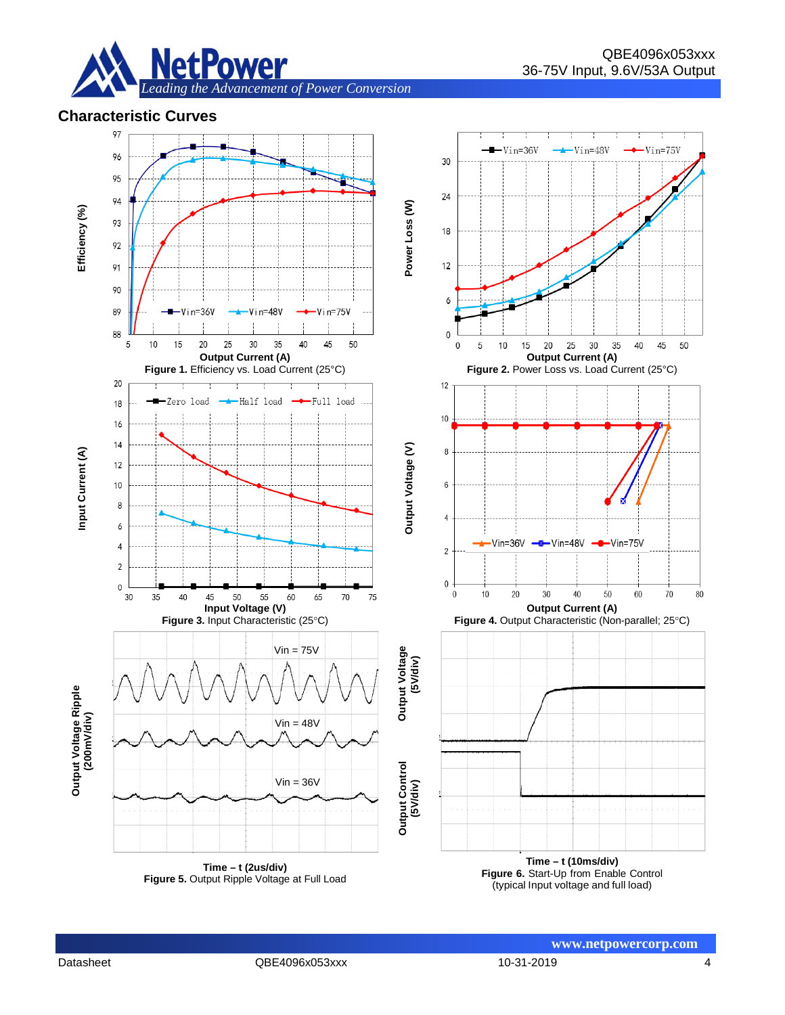

#### **Characteristic Curves**



**www.netpowercorp.com**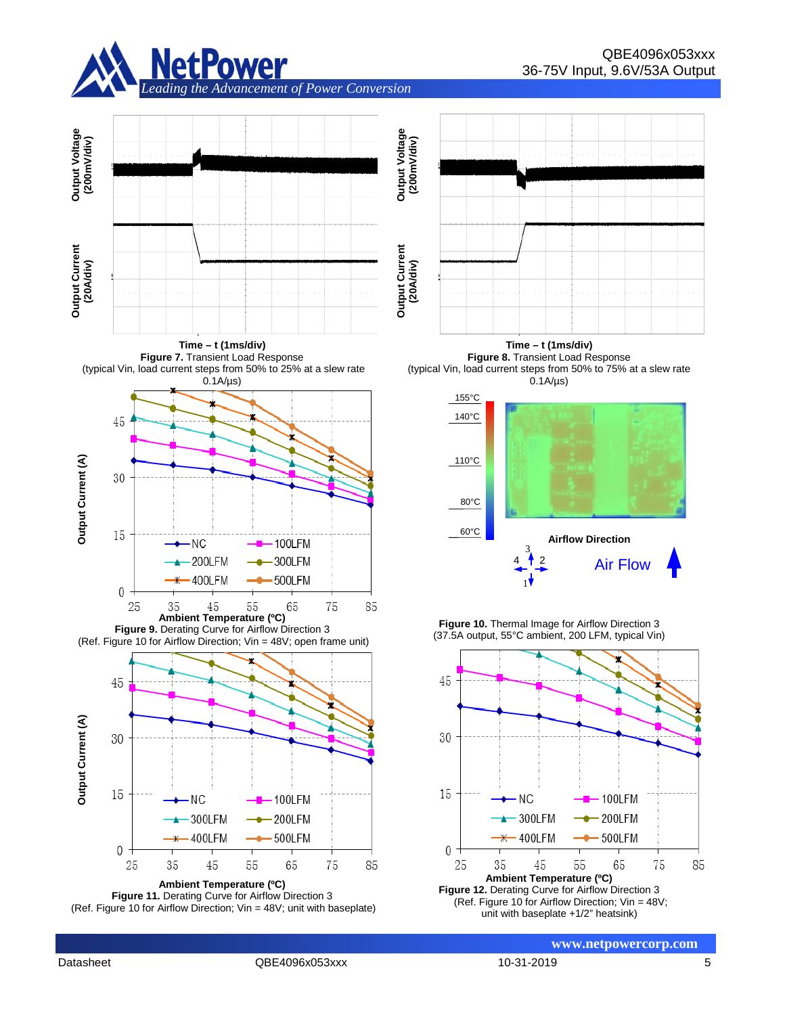



**Time – t (1ms/div) Figure 7.** Transient Load Response (typical Vin, load current steps from 50% to 25% at a slew rate



**Figure 9.** Derating Curve for Airflow Direction 3 (Ref. Figure 10 for Airflow Direction; Vin = 48V; open frame unit)



**Ambient Temperature (ºC) Figure 11.** Derating Curve for Airflow Direction 3 (Ref. Figure 10 for Airflow Direction; Vin = 48V; unit with baseplate)



**Time – t (1ms/div) Figure 8.** Transient Load Response (typical Vin, load current steps from 50% to 75% at a slew rate



**Figure 10.** Thermal Image for Airflow Direction 3 (37.5A output, 55°C ambient, 200 LFM, typical Vin)



Datasheet QBE4096x053xxx 10-31-2019 5

**www.netpowercorp.com**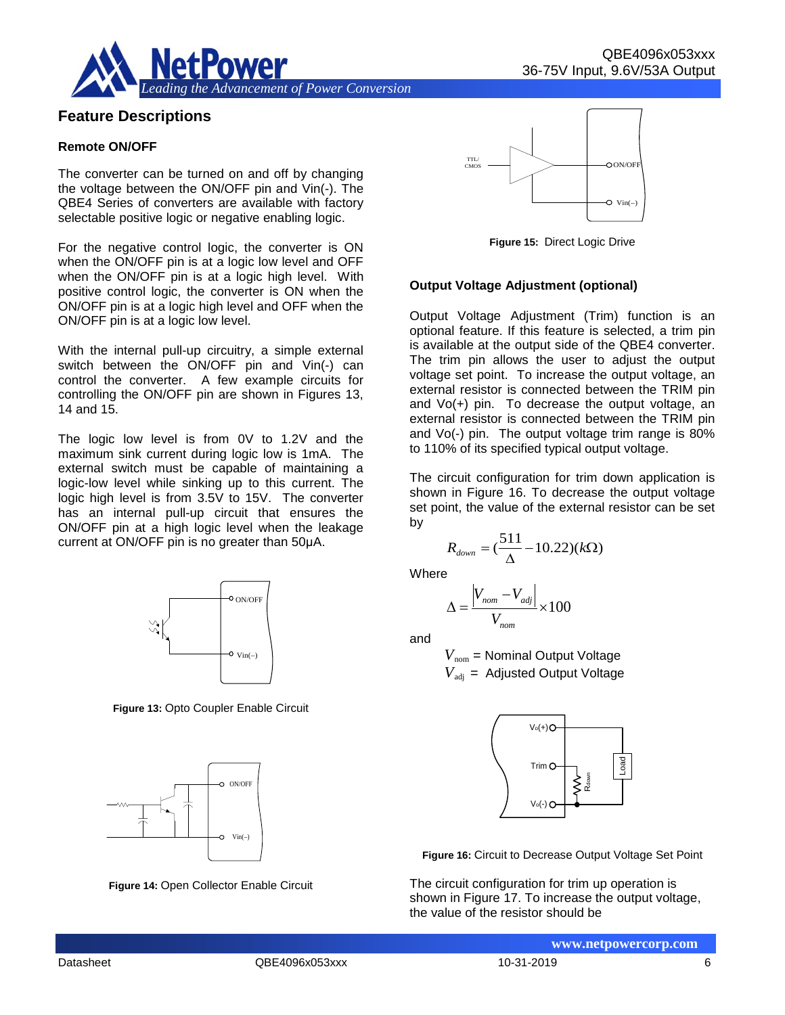

### **Feature Descriptions**

#### **Remote ON/OFF**

The converter can be turned on and off by changing the voltage between the ON/OFF pin and Vin(-). The QBE4 Series of converters are available with factory selectable positive logic or negative enabling logic.

For the negative control logic, the converter is ON when the ON/OFF pin is at a logic low level and OFF when the ON/OFF pin is at a logic high level. With positive control logic, the converter is ON when the ON/OFF pin is at a logic high level and OFF when the ON/OFF pin is at a logic low level.

With the internal pull-up circuitry, a simple external switch between the ON/OFF pin and Vin(-) can control the converter. A few example circuits for controlling the ON/OFF pin are shown in Figures 13, 14 and 15.

The logic low level is from 0V to 1.2V and the maximum sink current during logic low is 1mA. The external switch must be capable of maintaining a logic-low level while sinking up to this current. The logic high level is from 3.5V to 15V. The converter has an internal pull-up circuit that ensures the ON/OFF pin at a high logic level when the leakage current at ON/OFF pin is no greater than 50μA.



**Figure 13:** Opto Coupler Enable Circuit



**Figure 14:** Open Collector Enable Circuit



**Figure 15:** Direct Logic Drive

#### **Output Voltage Adjustment (optional)**

Output Voltage Adjustment (Trim) function is an optional feature. If this feature is selected, a trim pin is available at the output side of the QBE4 converter. The trim pin allows the user to adjust the output voltage set point. To increase the output voltage, an external resistor is connected between the TRIM pin and Vo(+) pin. To decrease the output voltage, an external resistor is connected between the TRIM pin and Vo(-) pin. The output voltage trim range is 80% to 110% of its specified typical output voltage.

The circuit configuration for trim down application is shown in Figure 16. To decrease the output voltage set point, the value of the external resistor can be set by

$$
R_{down} = \left(\frac{511}{\Delta} - 10.22\right)(k\Omega)
$$

Where

$$
\Delta = \frac{\left|V_{nom} - V_{adj}\right|}{V_{nom}} \times 100
$$

and

*V*nom = Nominal Output Voltage  $V_{\text{adi}}$  = Adjusted Output Voltage



**Figure 16:** Circuit to Decrease Output Voltage Set Point

The circuit configuration for trim up operation is shown in Figure 17. To increase the output voltage, the value of the resistor should be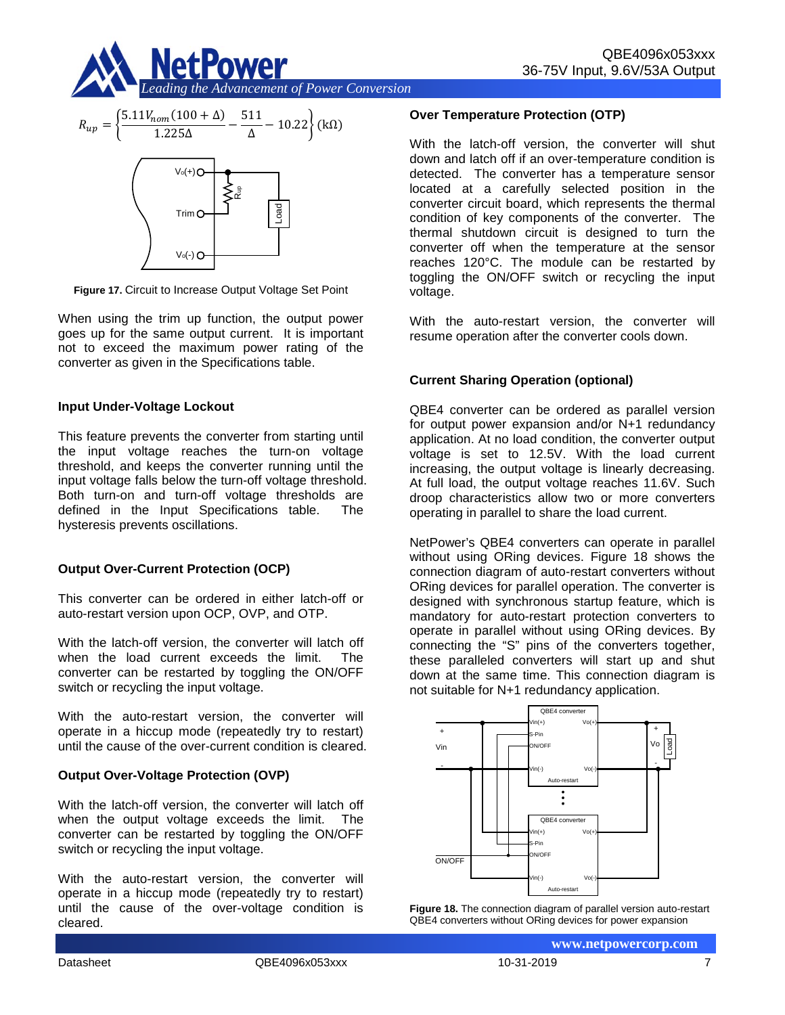



**Figure 17.** Circuit to Increase Output Voltage Set Point

When using the trim up function, the output power goes up for the same output current. It is important not to exceed the maximum power rating of the converter as given in the Specifications table.

#### **Input Under-Voltage Lockout**

This feature prevents the converter from starting until the input voltage reaches the turn-on voltage threshold, and keeps the converter running until the input voltage falls below the turn-off voltage threshold. Both turn-on and turn-off voltage thresholds are defined in the Input Specifications table. The hysteresis prevents oscillations.

#### **Output Over-Current Protection (OCP)**

This converter can be ordered in either latch-off or auto-restart version upon OCP, OVP, and OTP.

With the latch-off version, the converter will latch off when the load current exceeds the limit. The converter can be restarted by toggling the ON/OFF switch or recycling the input voltage.

With the auto-restart version, the converter will operate in a hiccup mode (repeatedly try to restart) until the cause of the over-current condition is cleared.

#### **Output Over-Voltage Protection (OVP)**

With the latch-off version, the converter will latch off when the output voltage exceeds the limit. The converter can be restarted by toggling the ON/OFF switch or recycling the input voltage.

With the auto-restart version, the converter will operate in a hiccup mode (repeatedly try to restart) until the cause of the over-voltage condition is cleared.

#### **Over Temperature Protection (OTP)**

With the latch-off version, the converter will shut down and latch off if an over-temperature condition is detected. The converter has a temperature sensor located at a carefully selected position in the converter circuit board, which represents the thermal condition of key components of the converter. The thermal shutdown circuit is designed to turn the converter off when the temperature at the sensor reaches 120°C. The module can be restarted by toggling the ON/OFF switch or recycling the input voltage.

With the auto-restart version, the converter will resume operation after the converter cools down.

#### **Current Sharing Operation (optional)**

QBE4 converter can be ordered as parallel version for output power expansion and/or N+1 redundancy application. At no load condition, the converter output voltage is set to 12.5V. With the load current increasing, the output voltage is linearly decreasing. At full load, the output voltage reaches 11.6V. Such droop characteristics allow two or more converters operating in parallel to share the load current.

NetPower's QBE4 converters can operate in parallel without using ORing devices. Figure 18 shows the connection diagram of auto-restart converters without ORing devices for parallel operation. The converter is designed with synchronous startup feature, which is mandatory for auto-restart protection converters to operate in parallel without using ORing devices. By connecting the "S" pins of the converters together, these paralleled converters will start up and shut down at the same time. This connection diagram is not suitable for N+1 redundancy application.



**Figure 18.** The connection diagram of parallel version auto-restart QBE4 converters without ORing devices for power expansion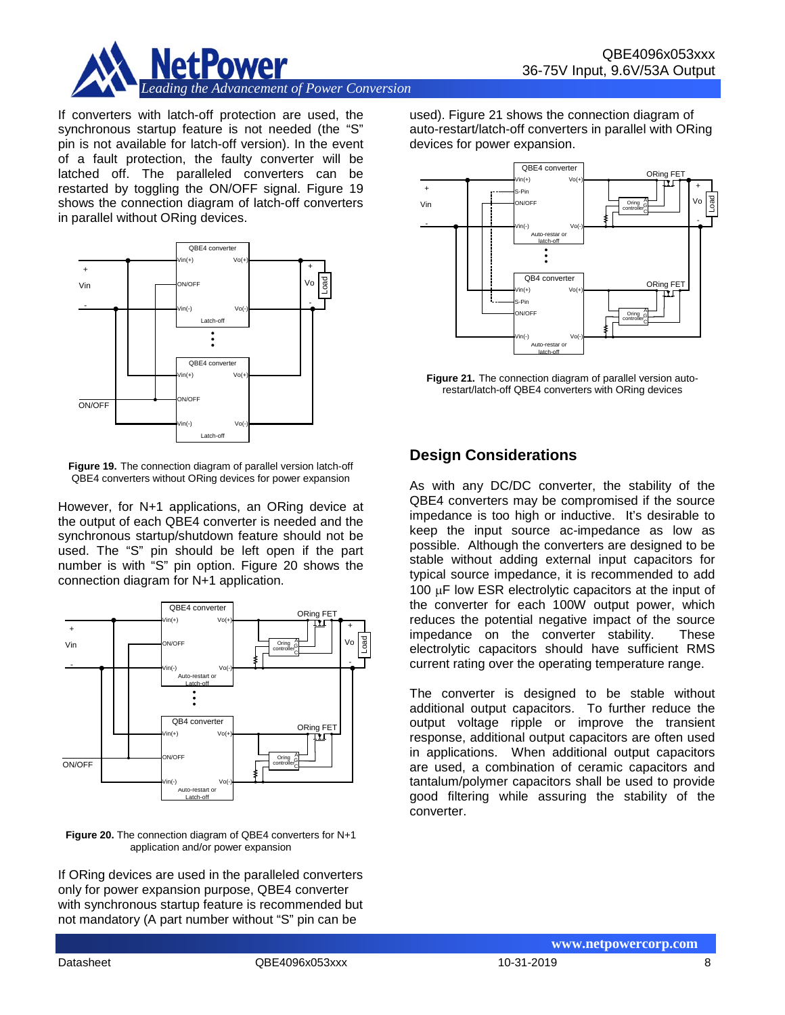

If converters with latch-off protection are used, the synchronous startup feature is not needed (the "S" pin is not available for latch-off version). In the event of a fault protection, the faulty converter will be latched off. The paralleled converters can be restarted by toggling the ON/OFF signal. Figure 19 shows the connection diagram of latch-off converters in parallel without ORing devices.



**Figure 19.** The connection diagram of parallel version latch-off QBE4 converters without ORing devices for power expansion

However, for N+1 applications, an ORing device at the output of each QBE4 converter is needed and the synchronous startup/shutdown feature should not be used. The "S" pin should be left open if the part number is with "S" pin option. Figure 20 shows the connection diagram for N+1 application.



**Figure 20.** The connection diagram of QBE4 converters for N+1 application and/or power expansion

If ORing devices are used in the paralleled converters only for power expansion purpose, QBE4 converter with synchronous startup feature is recommended but not mandatory (A part number without "S" pin can be

used). Figure 21 shows the connection diagram of auto-restart/latch-off converters in parallel with ORing devices for power expansion.



**Figure 21.** The connection diagram of parallel version autorestart/latch-off QBE4 converters with ORing devices

# **Design Considerations**

As with any DC/DC converter, the stability of the QBE4 converters may be compromised if the source impedance is too high or inductive. It's desirable to keep the input source ac-impedance as low as possible. Although the converters are designed to be stable without adding external input capacitors for typical source impedance, it is recommended to add 100 µF low ESR electrolytic capacitors at the input of the converter for each 100W output power, which reduces the potential negative impact of the source impedance on the converter stability. These electrolytic capacitors should have sufficient RMS current rating over the operating temperature range.

The converter is designed to be stable without additional output capacitors. To further reduce the output voltage ripple or improve the transient response, additional output capacitors are often used in applications. When additional output capacitors are used, a combination of ceramic capacitors and tantalum/polymer capacitors shall be used to provide good filtering while assuring the stability of the converter.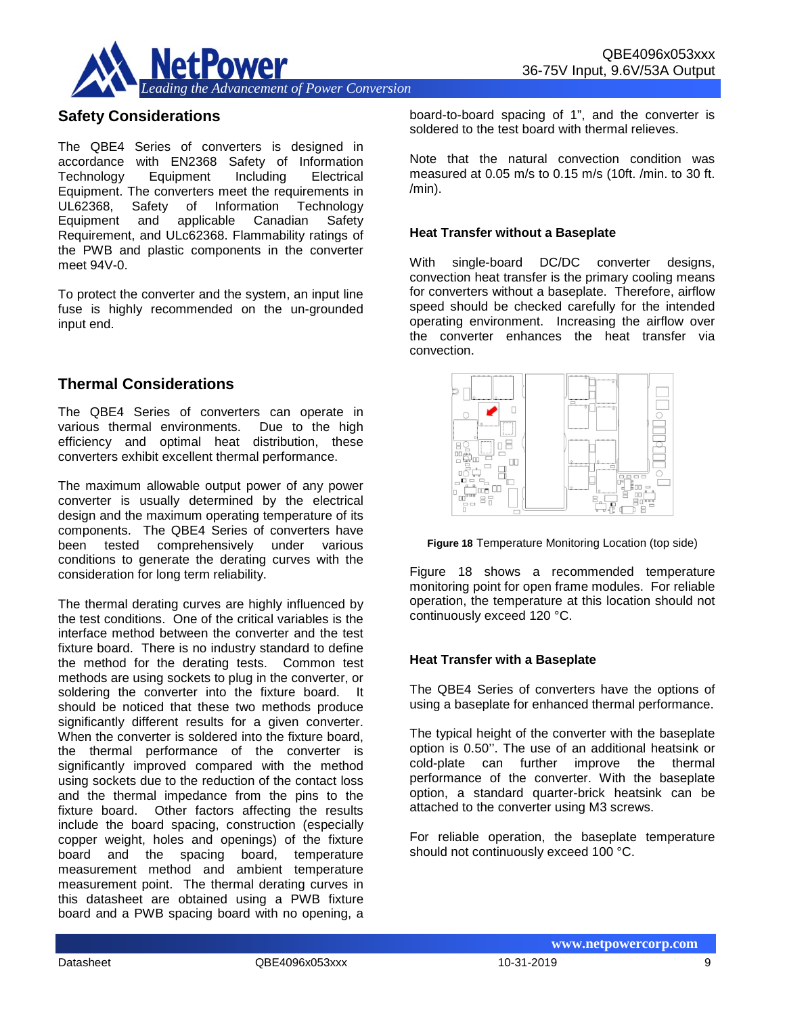

### **Safety Considerations**

The QBE4 Series of converters is designed in accordance with EN2368 Safety of Information Equipment Equipment. The converters meet the requirements in UL62368, Safety of Information Technology Equipment and applicable Canadian Safety Requirement, and ULc62368. Flammability ratings of the PWB and plastic components in the converter meet 94V-0.

To protect the converter and the system, an input line fuse is highly recommended on the un-grounded input end.

### **Thermal Considerations**

The QBE4 Series of converters can operate in various thermal environments. Due to the high efficiency and optimal heat distribution, these converters exhibit excellent thermal performance.

The maximum allowable output power of any power converter is usually determined by the electrical design and the maximum operating temperature of its components. The QBE4 Series of converters have been tested comprehensively under various conditions to generate the derating curves with the consideration for long term reliability.

The thermal derating curves are highly influenced by the test conditions. One of the critical variables is the interface method between the converter and the test fixture board. There is no industry standard to define the method for the derating tests. Common test methods are using sockets to plug in the converter, or soldering the converter into the fixture board. It should be noticed that these two methods produce significantly different results for a given converter. When the converter is soldered into the fixture board, the thermal performance of the converter is significantly improved compared with the method using sockets due to the reduction of the contact loss and the thermal impedance from the pins to the fixture board. Other factors affecting the results include the board spacing, construction (especially copper weight, holes and openings) of the fixture board and the spacing board, temperature measurement method and ambient temperature measurement point. The thermal derating curves in this datasheet are obtained using a PWB fixture board and a PWB spacing board with no opening, a board-to-board spacing of 1", and the converter is soldered to the test board with thermal relieves.

Note that the natural convection condition was measured at 0.05 m/s to 0.15 m/s (10ft. /min. to 30 ft.  $/min$ ).

#### **Heat Transfer without a Baseplate**

With single-board DC/DC converter designs, convection heat transfer is the primary cooling means for converters without a baseplate. Therefore, airflow speed should be checked carefully for the intended operating environment. Increasing the airflow over the converter enhances the heat transfer via convection.



**Figure 18** Temperature Monitoring Location (top side)

Figure 18 shows a recommended temperature monitoring point for open frame modules. For reliable operation, the temperature at this location should not continuously exceed 120 °C.

#### **Heat Transfer with a Baseplate**

The QBE4 Series of converters have the options of using a baseplate for enhanced thermal performance.

The typical height of the converter with the baseplate option is 0.50''. The use of an additional heatsink or cold-plate can further improve the thermal performance of the converter. With the baseplate option, a standard quarter-brick heatsink can be attached to the converter using M3 screws.

For reliable operation, the baseplate temperature should not continuously exceed 100 °C.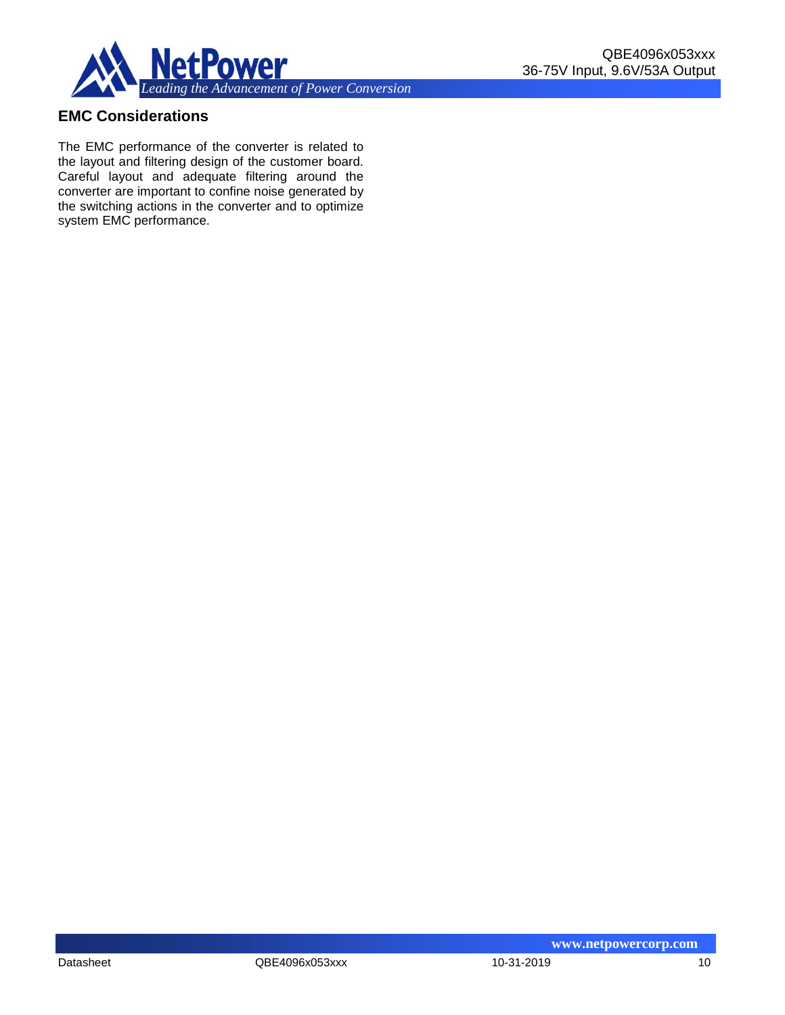

# **EMC Considerations**

The EMC performance of the converter is related to the layout and filtering design of the customer board. Careful layout and adequate filtering around the converter are important to confine noise generated by the switching actions in the converter and to optimize system EMC performance.